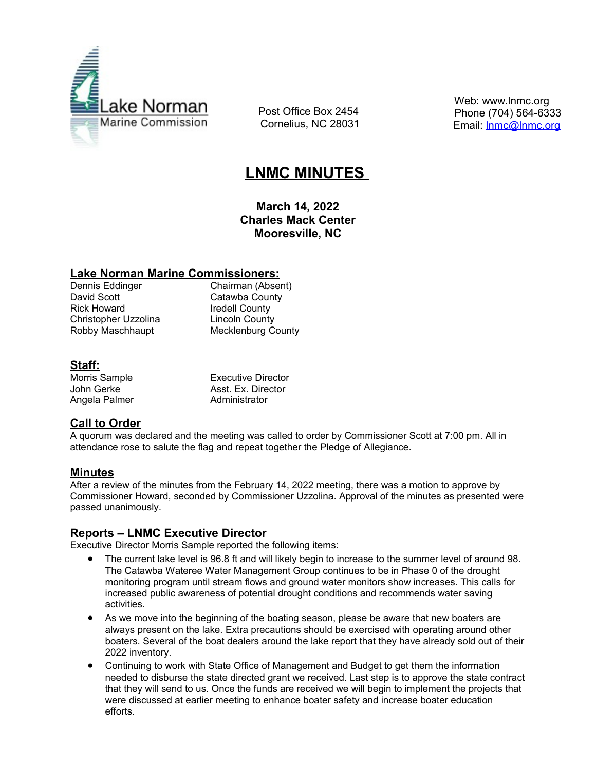

 Post Office Box 2454 Cornelius, NC 28031  Web: www.lnmc.org Phone (704) 564-6333 Email: [lnmc@lnmc.org](mailto:lnmc@lnmc.org)

# **LNMC MINUTES**

**March 14, 2022 Charles Mack Center Mooresville, NC**

#### **Lake Norman Marine Commissioners:**

Rick Howard **Iredell County** Christopher Uzzolina Lincoln County

Dennis Eddinger Chairman (Absent)<br>
David Scott Catawba County Catawba County Robby Maschhaupt Mecklenburg County

# **Staff:**

Angela Palmer Administrator

Morris Sample **Executive Director** John Gerke **Asst. Ex. Director** 

# **Call to Order**

A quorum was declared and the meeting was called to order by Commissioner Scott at 7:00 pm. All in attendance rose to salute the flag and repeat together the Pledge of Allegiance.

# **Minutes**

After a review of the minutes from the February 14, 2022 meeting, there was a motion to approve by Commissioner Howard, seconded by Commissioner Uzzolina. Approval of the minutes as presented were passed unanimously.

## **Reports – LNMC Executive Director**

Executive Director Morris Sample reported the following items:

- The current lake level is 96.8 ft and will likely begin to increase to the summer level of around 98. The Catawba Wateree Water Management Group continues to be in Phase 0 of the drought monitoring program until stream flows and ground water monitors show increases. This calls for increased public awareness of potential drought conditions and recommends water saving activities.
- As we move into the beginning of the boating season, please be aware that new boaters are always present on the lake. Extra precautions should be exercised with operating around other boaters. Several of the boat dealers around the lake report that they have already sold out of their 2022 inventory.
- Continuing to work with State Office of Management and Budget to get them the information needed to disburse the state directed grant we received. Last step is to approve the state contract that they will send to us. Once the funds are received we will begin to implement the projects that were discussed at earlier meeting to enhance boater safety and increase boater education efforts.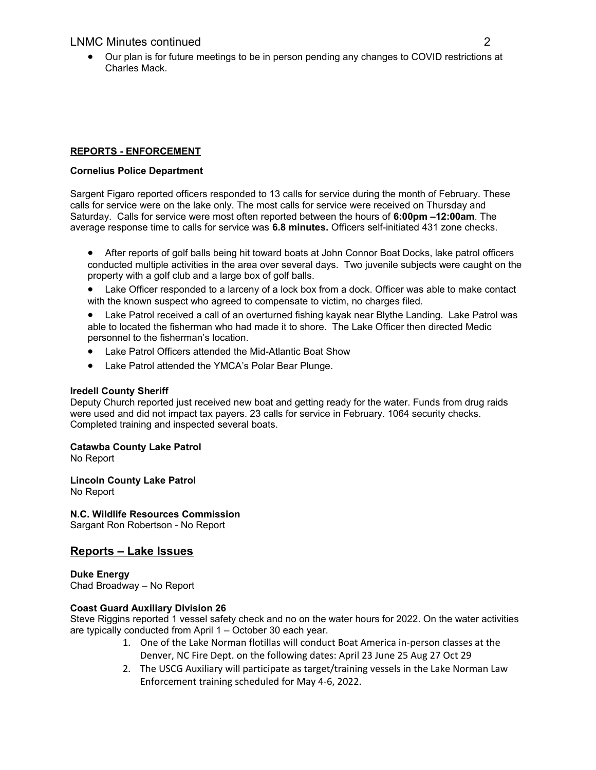Our plan is for future meetings to be in person pending any changes to COVID restrictions at Charles Mack.

#### **REPORTS - ENFORCEMENT**

#### **Cornelius Police Department**

Sargent Figaro reported officers responded to 13 calls for service during the month of February. These calls for service were on the lake only. The most calls for service were received on Thursday and Saturday. Calls for service were most often reported between the hours of **6:00pm –12:00am**. The average response time to calls for service was **6.8 minutes.** Officers self-initiated 431 zone checks.

- After reports of golf balls being hit toward boats at John Connor Boat Docks, lake patrol officers conducted multiple activities in the area over several days. Two juvenile subjects were caught on the property with a golf club and a large box of golf balls.
- Lake Officer responded to a larceny of a lock box from a dock. Officer was able to make contact with the known suspect who agreed to compensate to victim, no charges filed.
- Lake Patrol received a call of an overturned fishing kayak near Blythe Landing. Lake Patrol was able to located the fisherman who had made it to shore. The Lake Officer then directed Medic personnel to the fisherman's location.
- Lake Patrol Officers attended the Mid-Atlantic Boat Show
- Lake Patrol attended the YMCA's Polar Bear Plunge.

#### **Iredell County Sheriff**

Deputy Church reported just received new boat and getting ready for the water. Funds from drug raids were used and did not impact tax payers. 23 calls for service in February. 1064 security checks. Completed training and inspected several boats.

#### **Catawba County Lake Patrol**

No Report

**Lincoln County Lake Patrol** No Report

## **N.C. Wildlife Resources Commission**

Sargant Ron Robertson - No Report

# **Reports – Lake Issues**

**Duke Energy**  Chad Broadway – No Report

#### **Coast Guard Auxiliary Division 26**

Steve Riggins reported 1 vessel safety check and no on the water hours for 2022. On the water activities are typically conducted from April 1 – October 30 each year.

- 1. One of the Lake Norman flotillas will conduct Boat America in-person classes at the Denver, NC Fire Dept. on the following dates: April 23 June 25 Aug 27 Oct 29
- 2. The USCG Auxiliary will participate as target/training vessels in the Lake Norman Law Enforcement training scheduled for May 4-6, 2022.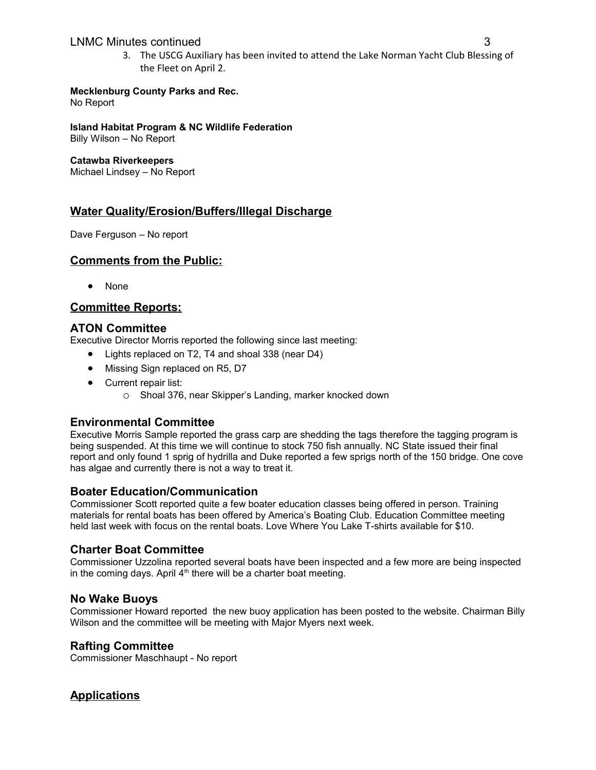## LNMC Minutes continued 3

3. The USCG Auxiliary has been invited to attend the Lake Norman Yacht Club Blessing of the Fleet on April 2.

#### **Mecklenburg County Parks and Rec.**

No Report

**Island Habitat Program & NC Wildlife Federation**

Billy Wilson – No Report

#### **Catawba Riverkeepers**

Michael Lindsey – No Report

# **Water Quality/Erosion/Buffers/Illegal Discharge**

Dave Ferguson – No report

## **Comments from the Public:**

None

# **Committee Reports:**

# **ATON Committee**

Executive Director Morris reported the following since last meeting:

- Lights replaced on T2, T4 and shoal 338 (near D4)
- Missing Sign replaced on R5, D7
- Current repair list:
	- o Shoal 376, near Skipper's Landing, marker knocked down

## **Environmental Committee**

Executive Morris Sample reported the grass carp are shedding the tags therefore the tagging program is being suspended. At this time we will continue to stock 750 fish annually. NC State issued their final report and only found 1 sprig of hydrilla and Duke reported a few sprigs north of the 150 bridge. One cove has algae and currently there is not a way to treat it.

## **Boater Education/Communication**

Commissioner Scott reported quite a few boater education classes being offered in person. Training materials for rental boats has been offered by America's Boating Club. Education Committee meeting held last week with focus on the rental boats. Love Where You Lake T-shirts available for \$10.

## **Charter Boat Committee**

Commissioner Uzzolina reported several boats have been inspected and a few more are being inspected in the coming days. April  $4<sup>th</sup>$  there will be a charter boat meeting.

## **No Wake Buoys**

Commissioner Howard reported the new buoy application has been posted to the website. Chairman Billy Wilson and the committee will be meeting with Major Myers next week.

## **Rafting Committee**

Commissioner Maschhaupt - No report

# **Applications**